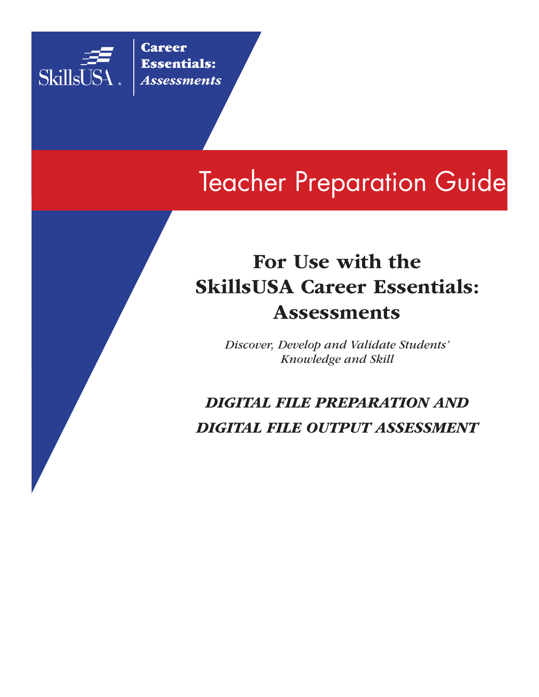

**Career** Essentials: *Assessments*

# Teacher Preparation Guide

# For Use with the SkillsUSA Career Essentials: Assessments

*Discover, Develop and Validate Students' Knowledge and Skill*

*DIGITAL FILE PREPARATION AND DIGITAL FILE OUTPUT ASSESSMENT*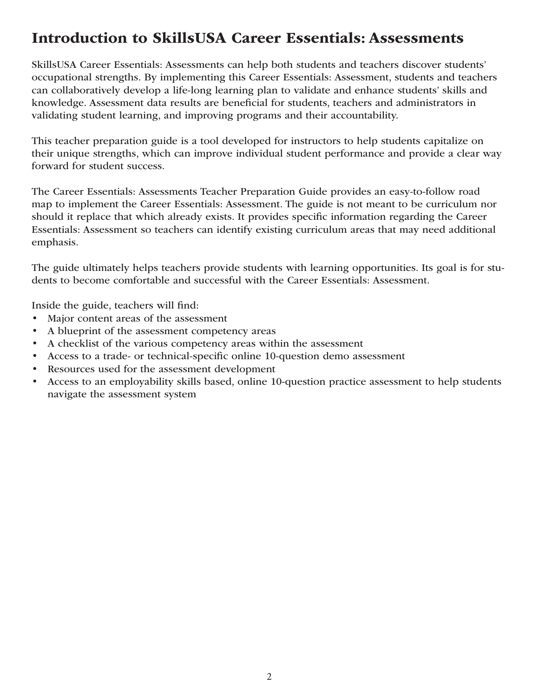### Introduction to SkillsUSA Career Essentials: Assessments

SkillsUSA Career Essentials: Assessments can help both students and teachers discover students' occupational strengths. By implementing this Career Essentials: Assessment, students and teachers can collaboratively develop a life-long learning plan to validate and enhance students' skills and knowledge. Assessment data results are beneficial for students, teachers and administrators in validating student learning, and improving programs and their accountability.

This teacher preparation guide is a tool developed for instructors to help students capitalize on their unique strengths, which can improve individual student performance and provide a clear way forward for student success.

The Career Essentials: Assessments Teacher Preparation Guide provides an easy-to-follow road map to implement the Career Essentials: Assessment. The guide is not meant to be curriculum nor should it replace that which already exists. It provides specific information regarding the Career Essentials: Assessment so teachers can identify existing curriculum areas that may need additional emphasis.

The guide ultimately helps teachers provide students with learning opportunities. Its goal is for students to become comfortable and successful with the Career Essentials: Assessment.

Inside the guide, teachers will find:

- Major content areas of the assessment
- A blueprint of the assessment competency areas
- A checklist of the various competency areas within the assessment
- Access to a trade- or technical-specific online 10-question demo assessment
- Resources used for the assessment development
- Access to an employability skills based, online 10-question practice assessment to help students navigate the assessment system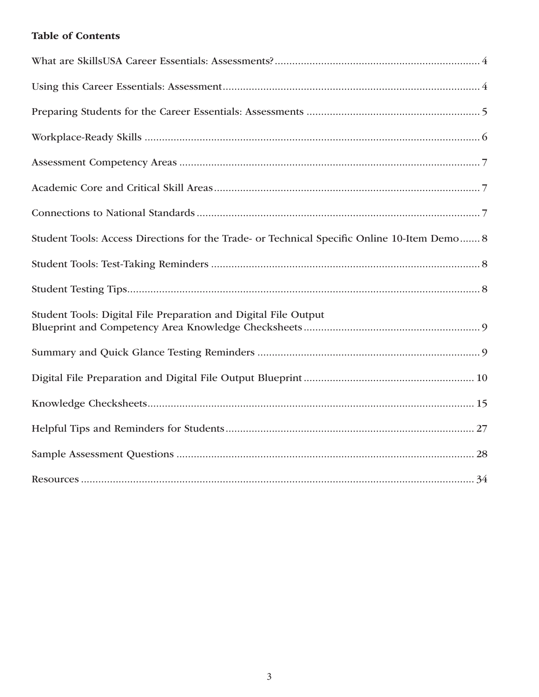### Table of Contents

| Student Tools: Access Directions for the Trade- or Technical Specific Online 10-Item Demo 8 |
|---------------------------------------------------------------------------------------------|
|                                                                                             |
|                                                                                             |
| Student Tools: Digital File Preparation and Digital File Output                             |
|                                                                                             |
|                                                                                             |
|                                                                                             |
|                                                                                             |
|                                                                                             |
|                                                                                             |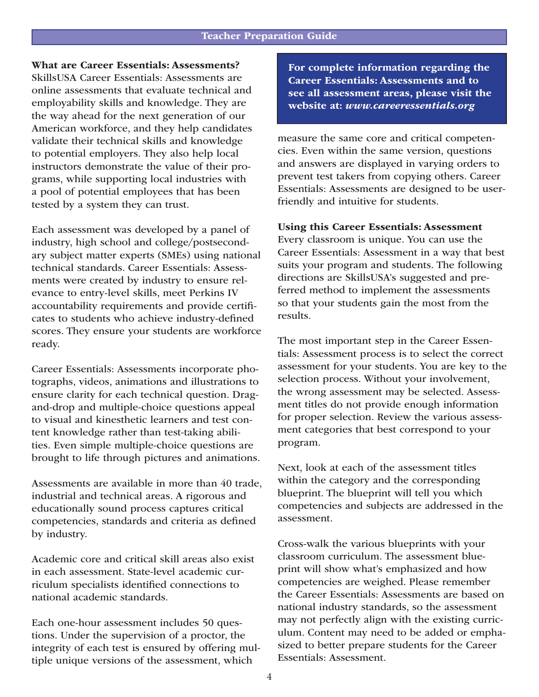### What are Career Essentials: Assessments?

SkillsUSA Career Essentials: Assessments are online assessments that evaluate technical and employability skills and knowledge. They are the way ahead for the next generation of our American workforce, and they help candidates validate their technical skills and knowledge to potential employers. They also help local instructors demonstrate the value of their programs, while supporting local industries with a pool of potential employees that has been tested by a system they can trust.

Each assessment was developed by a panel of industry, high school and college/postsecondary subject matter experts (SMEs) using national technical standards. Career Essentials: Assessments were created by industry to ensure relevance to entry-level skills, meet Perkins IV accountability requirements and provide certificates to students who achieve industry-defined scores. They ensure your students are workforce ready.

Career Essentials: Assessments incorporate photographs, videos, animations and illustrations to ensure clarity for each technical question. Dragand-drop and multiple-choice questions appeal to visual and kinesthetic learners and test content knowledge rather than test-taking abilities. Even simple multiple-choice questions are brought to life through pictures and animations.

Assessments are available in more than 40 trade, industrial and technical areas. A rigorous and educationally sound process captures critical competencies, standards and criteria as defined by industry.

Academic core and critical skill areas also exist in each assessment. State-level academic curriculum specialists identified connections to national academic standards.

Each one-hour assessment includes 50 questions. Under the supervision of a proctor, the integrity of each test is ensured by offering multiple unique versions of the assessment, which

For complete information regarding the Career Essentials: Assessments and to see all assessment areas, please visit the website at: *www.careeressentials.org* 

measure the same core and critical competencies. Even within the same version, questions and answers are displayed in varying orders to prevent test takers from copying others. Career Essentials: Assessments are designed to be userfriendly and intuitive for students.

Using this Career Essentials: Assessment

Every classroom is unique. You can use the Career Essentials: Assessment in a way that best suits your program and students. The following directions are SkillsUSA's suggested and preferred method to implement the assessments so that your students gain the most from the results.

The most important step in the Career Essentials: Assessment process is to select the correct assessment for your students. You are key to the selection process. Without your involvement, the wrong assessment may be selected. Assessment titles do not provide enough information for proper selection. Review the various assessment categories that best correspond to your program.

Next, look at each of the assessment titles within the category and the corresponding blueprint. The blueprint will tell you which competencies and subjects are addressed in the assessment.

Cross-walk the various blueprints with your classroom curriculum. The assessment blueprint will show what's emphasized and how competencies are weighed. Please remember the Career Essentials: Assessments are based on national industry standards, so the assessment may not perfectly align with the existing curriculum. Content may need to be added or emphasized to better prepare students for the Career Essentials: Assessment.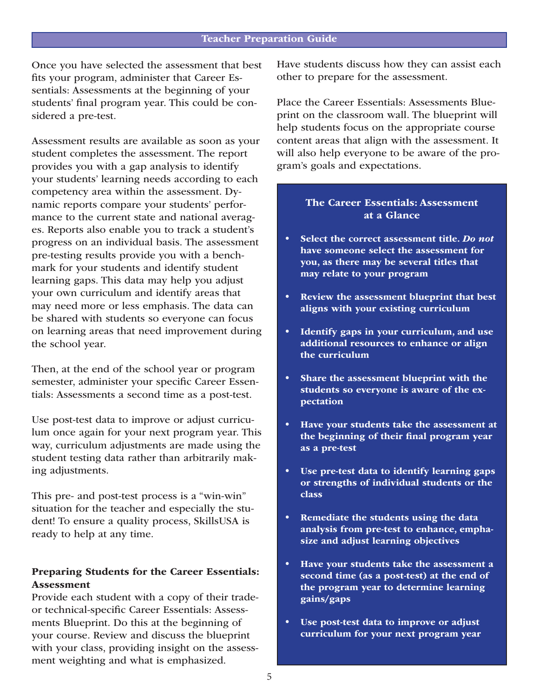Once you have selected the assessment that best fits your program, administer that Career Essentials: Assessments at the beginning of your students' final program year. This could be considered a pre-test.

Assessment results are available as soon as your student completes the assessment. The report provides you with a gap analysis to identify your students' learning needs according to each competency area within the assessment. Dynamic reports compare your students' performance to the current state and national averages. Reports also enable you to track a student's progress on an individual basis. The assessment pre-testing results provide you with a benchmark for your students and identify student learning gaps. This data may help you adjust your own curriculum and identify areas that may need more or less emphasis. The data can be shared with students so everyone can focus on learning areas that need improvement during the school year.

Then, at the end of the school year or program semester, administer your specific Career Essentials: Assessments a second time as a post-test.

Use post-test data to improve or adjust curriculum once again for your next program year. This way, curriculum adjustments are made using the student testing data rather than arbitrarily making adjustments.

This pre- and post-test process is a "win-win" situation for the teacher and especially the student! To ensure a quality process, SkillsUSA is ready to help at any time.

### Preparing Students for the Career Essentials: Assessment

Provide each student with a copy of their tradeor technical-specific Career Essentials: Assessments Blueprint. Do this at the beginning of your course. Review and discuss the blueprint with your class, providing insight on the assessment weighting and what is emphasized.

Have students discuss how they can assist each other to prepare for the assessment.

Place the Career Essentials: Assessments Blueprint on the classroom wall. The blueprint will help students focus on the appropriate course content areas that align with the assessment. It will also help everyone to be aware of the program's goals and expectations.

### The Career Essentials: Assessment at a Glance

- Select the correct assessment title. *Do not*  have someone select the assessment for you, as there may be several titles that may relate to your program
- Review the assessment blueprint that best aligns with your existing curriculum
- Identify gaps in your curriculum, and use additional resources to enhance or align the curriculum
- Share the assessment blueprint with the students so everyone is aware of the expectation
- Have your students take the assessment at the beginning of their final program year as a pre-test
- Use pre-test data to identify learning gaps or strengths of individual students or the class
- Remediate the students using the data analysis from pre-test to enhance, emphasize and adjust learning objectives
- Have your students take the assessment a second time (as a post-test) at the end of the program year to determine learning gains/gaps
- Use post-test data to improve or adjust curriculum for your next program year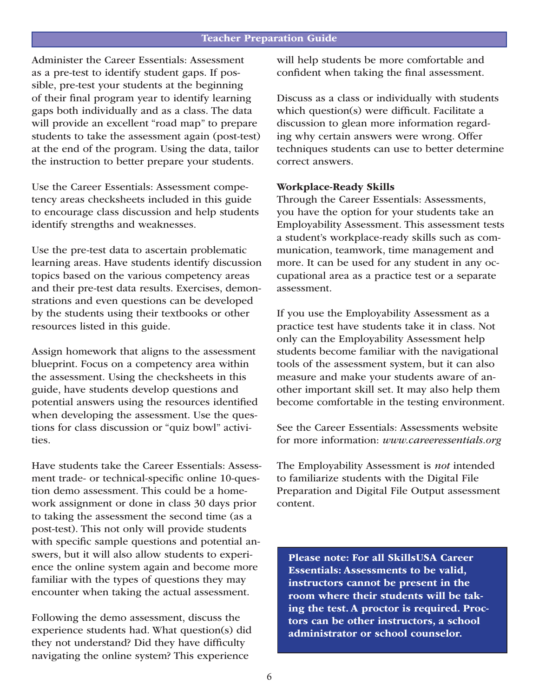#### Teacher Preparation Guide

Administer the Career Essentials: Assessment as a pre-test to identify student gaps. If possible, pre-test your students at the beginning of their final program year to identify learning gaps both individually and as a class. The data will provide an excellent "road map" to prepare students to take the assessment again (post-test) at the end of the program. Using the data, tailor the instruction to better prepare your students.

Use the Career Essentials: Assessment competency areas checksheets included in this guide to encourage class discussion and help students identify strengths and weaknesses.

Use the pre-test data to ascertain problematic learning areas. Have students identify discussion topics based on the various competency areas and their pre-test data results. Exercises, demonstrations and even questions can be developed by the students using their textbooks or other resources listed in this guide.

Assign homework that aligns to the assessment blueprint. Focus on a competency area within the assessment. Using the checksheets in this guide, have students develop questions and potential answers using the resources identified when developing the assessment. Use the questions for class discussion or "quiz bowl" activities.

Have students take the Career Essentials: Assessment trade- or technical-specific online 10-question demo assessment. This could be a homework assignment or done in class 30 days prior to taking the assessment the second time (as a post-test). This not only will provide students with specific sample questions and potential answers, but it will also allow students to experience the online system again and become more familiar with the types of questions they may encounter when taking the actual assessment.

Following the demo assessment, discuss the experience students had. What question(s) did they not understand? Did they have difficulty navigating the online system? This experience

will help students be more comfortable and confident when taking the final assessment.

Discuss as a class or individually with students which question(s) were difficult. Facilitate a discussion to glean more information regarding why certain answers were wrong. Offer techniques students can use to better determine correct answers.

#### Workplace-Ready Skills

Through the Career Essentials: Assessments, you have the option for your students take an Employability Assessment. This assessment tests a student's workplace-ready skills such as communication, teamwork, time management and more. It can be used for any student in any occupational area as a practice test or a separate assessment.

If you use the Employability Assessment as a practice test have students take it in class. Not only can the Employability Assessment help students become familiar with the navigational tools of the assessment system, but it can also measure and make your students aware of another important skill set. It may also help them become comfortable in the testing environment.

See the Career Essentials: Assessments website for more information: *www.careeressentials.org* 

The Employability Assessment is *not* intended to familiarize students with the Digital File Preparation and Digital File Output assessment content.

Please note: For all SkillsUSA Career Essentials: Assessments to be valid, instructors cannot be present in the room where their students will be taking the test. A proctor is required. Proctors can be other instructors, a school administrator or school counselor.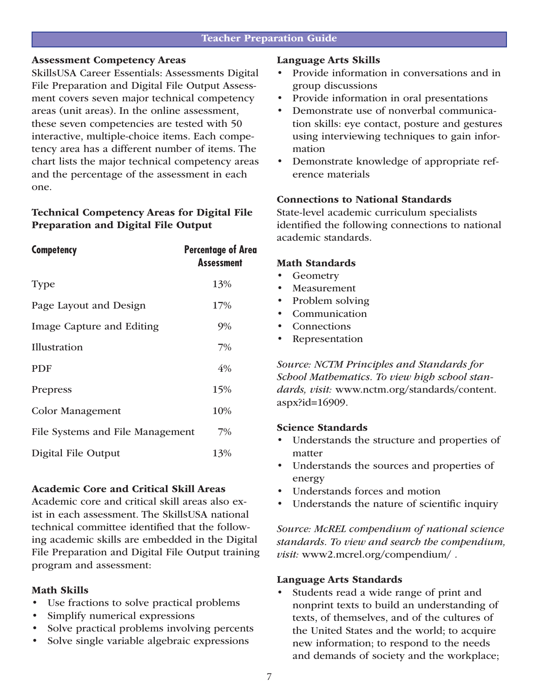### Assessment Competency Areas

SkillsUSA Career Essentials: Assessments Digital File Preparation and Digital File Output Assessment covers seven major technical competency areas (unit areas). In the online assessment, these seven competencies are tested with 50 interactive, multiple-choice items. Each competency area has a different number of items. The chart lists the major technical competency areas and the percentage of the assessment in each one.

### Technical Competency Areas for Digital File Preparation and Digital File Output

| <b>Competency</b>                | <b>Percentage of Area</b><br><b>Assessment</b> |
|----------------------------------|------------------------------------------------|
| Type                             | 13%                                            |
| Page Layout and Design           | 17%                                            |
| Image Capture and Editing        | $9\%$                                          |
| Illustration                     | 7%                                             |
| <b>PDF</b>                       | 4%                                             |
| Prepress                         | 15%                                            |
| Color Management                 | 10%                                            |
| File Systems and File Management | 7%                                             |
| Digital File Output              | 13%                                            |

### Academic Core and Critical Skill Areas

Academic core and critical skill areas also exist in each assessment. The SkillsUSA national technical committee identified that the following academic skills are embedded in the Digital File Preparation and Digital File Output training program and assessment:

### Math Skills

- Use fractions to solve practical problems
- Simplify numerical expressions
- Solve practical problems involving percents
- Solve single variable algebraic expressions

### Language Arts Skills

- Provide information in conversations and in group discussions
- Provide information in oral presentations
- Demonstrate use of nonverbal communication skills: eye contact, posture and gestures using interviewing techniques to gain information
- Demonstrate knowledge of appropriate reference materials

### Connections to National Standards

State-level academic curriculum specialists identified the following connections to national academic standards.

### Math Standards

- Geometry
- **Measurement**
- Problem solving
- Communication
- **Connections**
- **Representation**

*Source: NCTM Principles and Standards for School Mathematics. To view high school standards, visit:* www.nctm.org/standards/content. aspx?id=16909.

### Science Standards

- Understands the structure and properties of matter
- Understands the sources and properties of energy
- Understands forces and motion
- Understands the nature of scientific inquiry

*Source: McREL compendium of national science standards. To view and search the compendium, visit:* www2.mcrel.org/compendium/ *.*

### Language Arts Standards

Students read a wide range of print and nonprint texts to build an understanding of texts, of themselves, and of the cultures of the United States and the world; to acquire new information; to respond to the needs and demands of society and the workplace;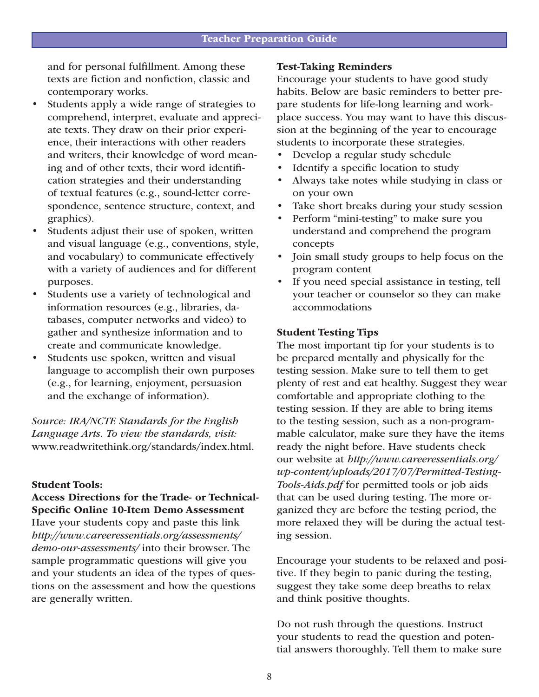and for personal fulfillment. Among these texts are fiction and nonfiction, classic and contemporary works.

- Students apply a wide range of strategies to comprehend, interpret, evaluate and appreciate texts. They draw on their prior experience, their interactions with other readers and writers, their knowledge of word meaning and of other texts, their word identification strategies and their understanding of textual features (e.g., sound-letter correspondence, sentence structure, context, and graphics).
- Students adjust their use of spoken, written and visual language (e.g., conventions, style, and vocabulary) to communicate effectively with a variety of audiences and for different purposes.
- Students use a variety of technological and information resources (e.g., libraries, databases, computer networks and video) to gather and synthesize information and to create and communicate knowledge.
- Students use spoken, written and visual language to accomplish their own purposes (e.g., for learning, enjoyment, persuasion and the exchange of information).

*Source: IRA/NCTE Standards for the English Language Arts. To view the standards, visit:* www.readwritethink.org/standards/index.html.

#### Student Tools:

Access Directions for the Trade- or Technical-Specific Online 10-Item Demo Assessment Have your students copy and paste this link *http://www.careeressentials.org/assessments/ demo-our-assessments/* into their browser. The sample programmatic questions will give you and your students an idea of the types of questions on the assessment and how the questions are generally written.

#### Test-Taking Reminders

Encourage your students to have good study habits. Below are basic reminders to better prepare students for life-long learning and workplace success. You may want to have this discussion at the beginning of the year to encourage students to incorporate these strategies.

- Develop a regular study schedule
- Identify a specific location to study
- Always take notes while studying in class or on your own
- Take short breaks during your study session
- Perform "mini-testing" to make sure you understand and comprehend the program concepts
- Join small study groups to help focus on the program content
- If you need special assistance in testing, tell your teacher or counselor so they can make accommodations

### Student Testing Tips

The most important tip for your students is to be prepared mentally and physically for the testing session. Make sure to tell them to get plenty of rest and eat healthy. Suggest they wear comfortable and appropriate clothing to the testing session. If they are able to bring items to the testing session, such as a non-programmable calculator, make sure they have the items ready the night before. Have students check our website at *http://www.careeressentials.org/ wp-content/uploads/2017/07/Permitted-Testing-Tools-Aids.pdf* for permitted tools or job aids that can be used during testing. The more organized they are before the testing period, the more relaxed they will be during the actual testing session.

Encourage your students to be relaxed and positive. If they begin to panic during the testing, suggest they take some deep breaths to relax and think positive thoughts.

Do not rush through the questions. Instruct your students to read the question and potential answers thoroughly. Tell them to make sure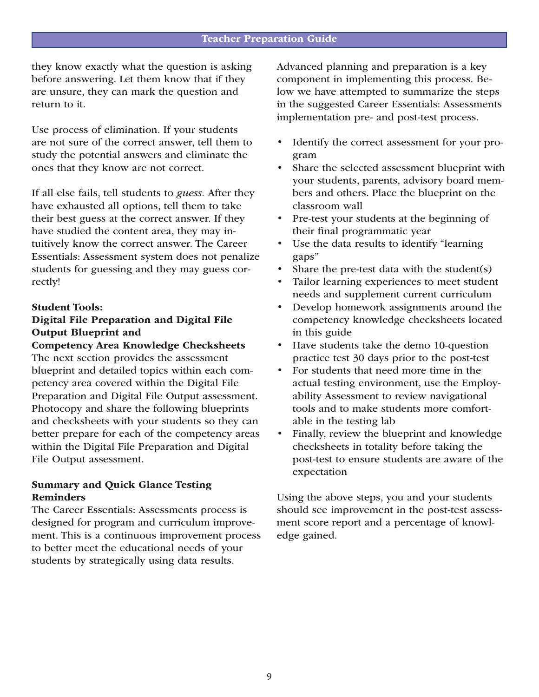they know exactly what the question is asking before answering. Let them know that if they are unsure, they can mark the question and return to it.

Use process of elimination. If your students are not sure of the correct answer, tell them to study the potential answers and eliminate the ones that they know are not correct.

If all else fails, tell students to *guess.* After they have exhausted all options, tell them to take their best guess at the correct answer. If they have studied the content area, they may intuitively know the correct answer. The Career Essentials: Assessment system does not penalize students for guessing and they may guess correctly!

#### Student Tools:

### Digital File Preparation and Digital File Output Blueprint and

Competency Area Knowledge Checksheets The next section provides the assessment blueprint and detailed topics within each competency area covered within the Digital File Preparation and Digital File Output assessment. Photocopy and share the following blueprints and checksheets with your students so they can better prepare for each of the competency areas within the Digital File Preparation and Digital File Output assessment.

### Summary and Quick Glance Testing Reminders

The Career Essentials: Assessments process is designed for program and curriculum improvement. This is a continuous improvement process to better meet the educational needs of your students by strategically using data results.

Advanced planning and preparation is a key component in implementing this process. Below we have attempted to summarize the steps in the suggested Career Essentials: Assessments implementation pre- and post-test process.

- Identify the correct assessment for your program
- Share the selected assessment blueprint with your students, parents, advisory board members and others. Place the blueprint on the classroom wall
- Pre-test your students at the beginning of their final programmatic year
- Use the data results to identify "learning" gaps"
- Share the pre-test data with the student $(s)$
- Tailor learning experiences to meet student needs and supplement current curriculum
- Develop homework assignments around the competency knowledge checksheets located in this guide
- Have students take the demo 10-question practice test 30 days prior to the post-test
- For students that need more time in the actual testing environment, use the Employability Assessment to review navigational tools and to make students more comfortable in the testing lab
- Finally, review the blueprint and knowledge checksheets in totality before taking the post-test to ensure students are aware of the expectation

Using the above steps, you and your students should see improvement in the post-test assessment score report and a percentage of knowledge gained.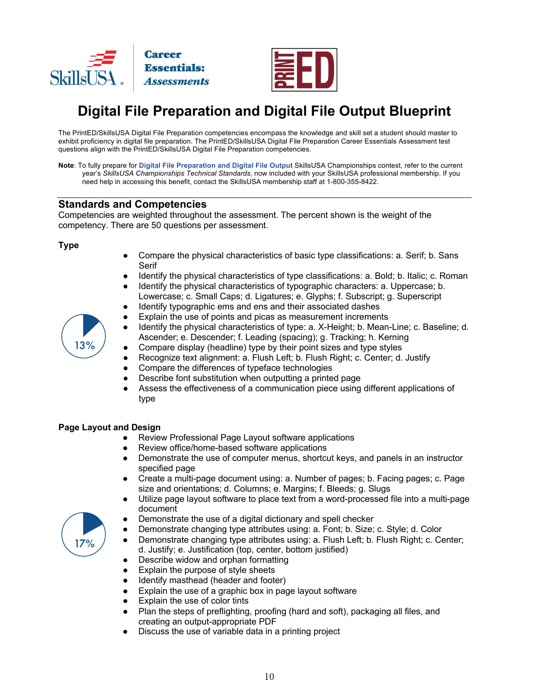



### **Digital File Preparation and Digital File Output Blueprint**

The PrintED/SkillsUSA Digital File Preparation competencies encompass the knowledge and skill set a student should master to exhibit proficiency in digital file preparation. The PrintED/SkillsUSA Digital File Preparation Career Essentials Assessment test questions align with the PrintED/SkillsUSA Digital File Preparation competencies.

**Note**: To fully prepare for **Digital File Preparation and Digital File Output** SkillsUSA Championships contest, refer to the current year's *SkillsUSA Championships Technical Standards*, now included with your SkillsUSA professional membership. If you need help in accessing this benefit, contact the SkillsUSA membership staff at 1-800-355-8422.

#### **Standards and Competencies**

Competencies are weighted throughout the assessment. The percent shown is the weight of the competency. There are 50 questions per assessment.

#### **Type**

- Compare the physical characteristics of basic type classifications: a. Serif; b. Sans Serif
- Identify the physical characteristics of type classifications: a. Bold; b. Italic; c. Roman
- Identify the physical characteristics of typographic characters: a. Uppercase; b. Lowercase; c. Small Caps; d. Ligatures; e. Glyphs; f. Subscript; g. Superscript
- Identify typographic ems and ens and their associated dashes
- Explain the use of points and picas as measurement increments
- Identify the physical characteristics of type: a. X-Height; b. Mean-Line; c. Baseline; d. Ascender; e. Descender; f. Leading (spacing); g. Tracking; h. Kerning
- Compare display (headline) type by their point sizes and type styles
- Recognize text alignment: a. Flush Left; b. Flush Right; c. Center; d. Justify
- Compare the differences of typeface technologies
- Describe font substitution when outputting a printed page
- Assess the effectiveness of a communication piece using different applications of type

#### **Page Layout and Design**

- Review Professional Page Layout software applications
- Review office/home-based software applications
- Demonstrate the use of computer menus, shortcut keys, and panels in an instructor specified page
- Create a multi-page document using: a. Number of pages; b. Facing pages; c. Page size and orientations; d. Columns; e. Margins; f. Bleeds; g. Slugs
- Utilize page layout software to place text from a word-processed file into a multi-page document
- Demonstrate the use of a digital dictionary and spell checker
- Demonstrate changing type attributes using: a. Font; b. Size; c. Style; d. Color
- Demonstrate changing type attributes using: a. Flush Left; b. Flush Right; c. Center; d. Justify; e. Justification (top, center, bottom justified)
- Describe widow and orphan formatting
- Explain the purpose of style sheets
- Identify masthead (header and footer)
- Explain the use of a graphic box in page layout software
- Explain the use of color tints
- Plan the steps of preflighting, proofing (hard and soft), packaging all files, and creating an output-appropriate PDF
- Discuss the use of variable data in a printing project



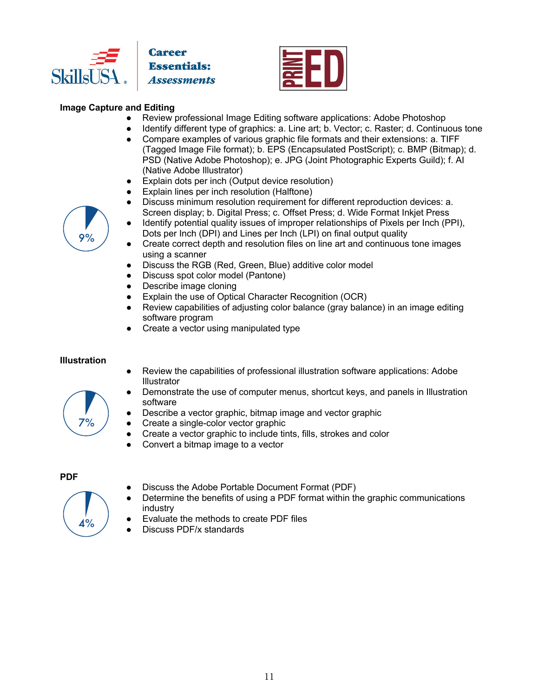



### **Image Capture and Editing**

- Review professional Image Editing software applications: Adobe Photoshop
- Identify different type of graphics: a. Line art; b. Vector; c. Raster; d. Continuous tone
- Compare examples of various graphic file formats and their extensions: a. TIFF (Tagged Image File format); b. EPS (Encapsulated PostScript); c. BMP (Bitmap); d. PSD (Native Adobe Photoshop); e. JPG (Joint Photographic Experts Guild); f. AI (Native Adobe Illustrator)
- Explain dots per inch (Output device resolution)
- Explain lines per inch resolution (Halftone)
- Discuss minimum resolution requirement for different reproduction devices: a. Screen display; b. Digital Press; c. Offset Press; d. Wide Format Inkjet Press
- Identify potential quality issues of improper relationships of Pixels per Inch (PPI), Dots per Inch (DPI) and Lines per Inch (LPI) on final output quality
- Create correct depth and resolution files on line art and continuous tone images using a scanner
- Discuss the RGB (Red, Green, Blue) additive color model
- Discuss spot color model (Pantone)
- Describe image cloning
- Explain the use of Optical Character Recognition (OCR)
- Review capabilities of adjusting color balance (gray balance) in an image editing software program
- Create a vector using manipulated type

#### **Illustration**

 $7%$ 

- Review the capabilities of professional illustration software applications: Adobe **Illustrator**
- Demonstrate the use of computer menus, shortcut keys, and panels in Illustration software
- Describe a vector graphic, bitmap image and vector graphic
- Create a single-color vector graphic
- Create a vector graphic to include tints, fills, strokes and color
- Convert a bitmap image to a vector

#### **PDF**



- Discuss the Adobe Portable Document Format (PDF)
- Determine the benefits of using a PDF format within the graphic communications industry
- Evaluate the methods to create PDF files
- Discuss PDF/x standards

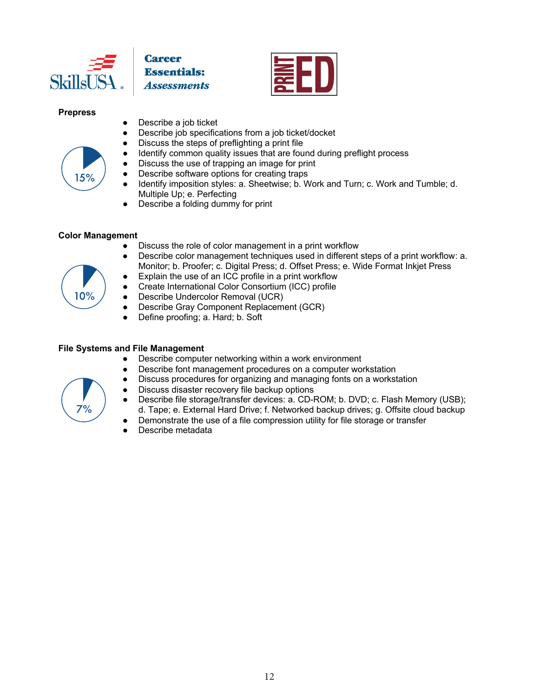

**Career Essentials:** 



#### **Prepress**



- Describe a job ticket
- Describe job specifications from a job ticket/docket
- Discuss the steps of preflighting a print file
- Identify common quality issues that are found during preflight process
- Discuss the use of trapping an image for print
- Describe software options for creating traps
- Identify imposition styles: a. Sheetwise; b. Work and Turn; c. Work and Tumble; d. Multiple Up; e. Perfecting
- Describe a folding dummy for print

#### **Color Management**

- Discuss the role of color management in a print workflow
- Describe color management techniques used in different steps of a print workflow: a. Monitor; b. Proofer; c. Digital Press; d. Offset Press; e. Wide Format Inkjet Press
- Explain the use of an ICC profile in a print workflow
- Create International Color Consortium (ICC) profile
- Describe Undercolor Removal (UCR)
- Describe Gray Component Replacement (GCR)
- Define proofing; a. Hard; b. Soft

#### **File Systems and File Management**

- Describe computer networking within a work environment
- Describe font management procedures on a computer workstation
- Discuss procedures for organizing and managing fonts on a workstation
- Discuss disaster recovery file backup options
- Describe file storage/transfer devices: a. CD-ROM; b. DVD; c. Flash Memory (USB); d. Tape; e. External Hard Drive; f. Networked backup drives; g. Offsite cloud backup
	- Demonstrate the use of a file compression utility for file storage or transfer
- Describe metadata



 $7%$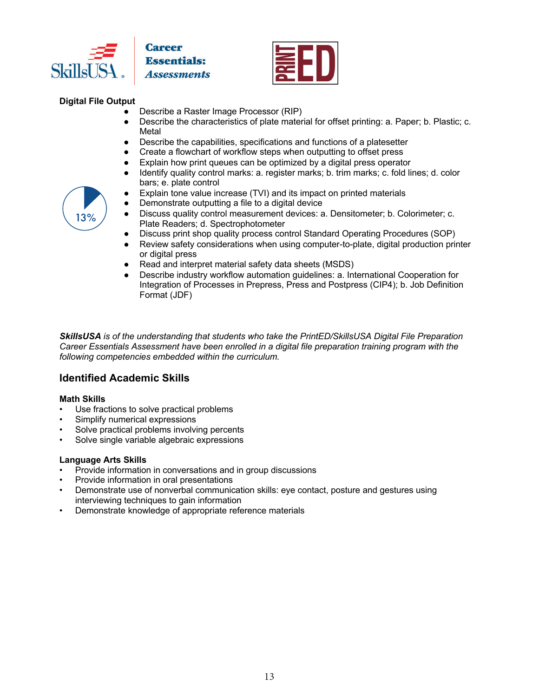



### **Digital File Output**

- Describe a Raster Image Processor (RIP)
- Describe the characteristics of plate material for offset printing: a. Paper; b. Plastic; c. **Metal**
- Describe the capabilities, specifications and functions of a platesetter
- Create a flowchart of workflow steps when outputting to offset press
- Explain how print queues can be optimized by a digital press operator
- Identify quality control marks: a. register marks; b. trim marks; c. fold lines; d. color bars; e. plate control
- Explain tone value increase (TVI) and its impact on printed materials
- Demonstrate outputting a file to a digital device
- Discuss quality control measurement devices: a. Densitometer; b. Colorimeter; c. Plate Readers; d. Spectrophotometer
- Discuss print shop quality process control Standard Operating Procedures (SOP)
- Review safety considerations when using computer-to-plate, digital production printer or digital press
- Read and interpret material safety data sheets (MSDS)
- Describe industry workflow automation guidelines: a. International Cooperation for Integration of Processes in Prepress, Press and Postpress (CIP4); b. Job Definition Format (JDF)

*SkillsUSA is of the understanding that students who take the PrintED/SkillsUSA Digital File Preparation Career Essentials Assessment have been enrolled in a digital file preparation training program with the following competencies embedded within the curriculum.* 

### **Identified Academic Skills**

#### **Math Skills**

- Use fractions to solve practical problems
- Simplify numerical expressions
- Solve practical problems involving percents
- Solve single variable algebraic expressions

#### **Language Arts Skills**

- Provide information in conversations and in group discussions
- Provide information in oral presentations
- Demonstrate use of nonverbal communication skills: eye contact, posture and gestures using interviewing techniques to gain information
- Demonstrate knowledge of appropriate reference materials

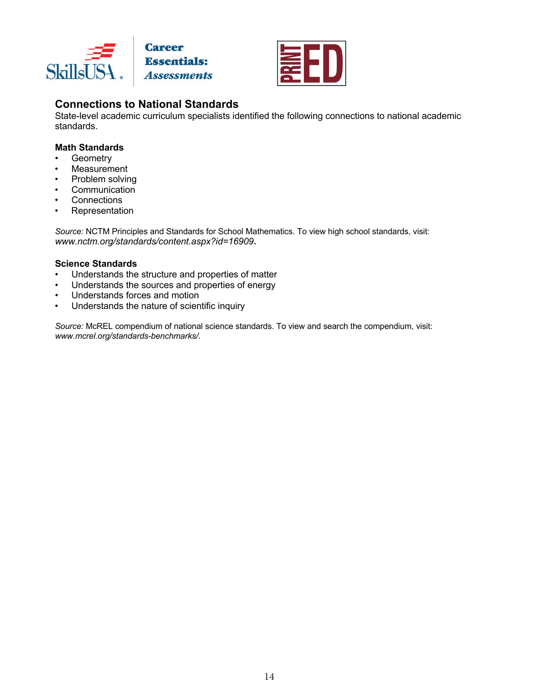



### **Connections to National Standards**

State-level academic curriculum specialists identified the following connections to national academic standards.

#### **Math Standards**

- Geometry
- Measurement
- Problem solving
- Communication
- **Connections**
- Representation

*Source:* NCTM Principles and Standards for School Mathematics. To view high school standards, visit: *www.nctm.org/standards/content.aspx?id=16909***.**

#### **Science Standards**

- Understands the structure and properties of matter
- Understands the sources and properties of energy
- Understands forces and motion
- Understands the nature of scientific inquiry

*Source:* McREL compendium of national science standards. To view and search the compendium, visit: *www.mcrel.org/standards-benchmarks/*.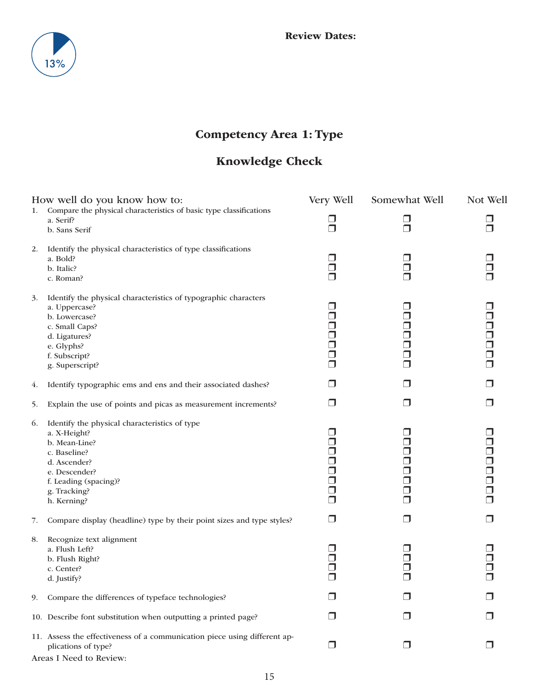

### Competency Area 1: Type

### Knowledge Check

|    | How well do you know how to:                                                                                                                                                            | Very Well                                                     | Somewhat Well              | Not Well                                            |
|----|-----------------------------------------------------------------------------------------------------------------------------------------------------------------------------------------|---------------------------------------------------------------|----------------------------|-----------------------------------------------------|
| 1. | Compare the physical characteristics of basic type classifications<br>a. Serif?<br>b. Sans Serif                                                                                        | $\Box$<br>$\Box$                                              | □<br>⊓                     | ⊓<br>$\Box$                                         |
| 2. | Identify the physical characteristics of type classifications<br>a. Bold?<br>b. Italic?<br>c. Roman?                                                                                    | □<br>$\Box$<br>⊓                                              | ┐                          | $\Box$                                              |
| 3. | Identify the physical characteristics of typographic characters<br>a. Uppercase?<br>b. Lowercase?<br>c. Small Caps?<br>d. Ligatures?<br>e. Glyphs?<br>f. Subscript?<br>g. Superscript?  | ⊓<br>$\Box$<br>$\Box$<br>$\Box$<br>Ω<br>$\Box$<br>$\Box$      | ┐<br>┐<br>┐<br>┐<br>□<br>⊓ | ⊓<br>$\Box$<br>$\Box$<br>$\Box$<br>$\Box$<br>$\Box$ |
| 4. | Identify typographic ems and ens and their associated dashes?                                                                                                                           | □                                                             | $\Box$                     | $\Box$                                              |
| 5. | Explain the use of points and picas as measurement increments?                                                                                                                          | □                                                             | $\Box$                     | $\Box$                                              |
| 6. | Identify the physical characteristics of type<br>a. X-Height?<br>b. Mean-Line?<br>c. Baseline?<br>d. Ascender?<br>e. Descender?<br>f. Leading (spacing)?<br>g. Tracking?<br>h. Kerning? | $\Box$<br>⊓<br>⊓<br>$\Box$<br>$\Box$<br>Ω<br>$\Box$<br>$\Box$ | ┐<br>┐<br>J<br>┐<br>J<br>⊓ | $\Box$<br>$\Box$<br>8888<br>889<br>$\Box$<br>$\Box$ |
| 7. | Compare display (headline) type by their point sizes and type styles?                                                                                                                   | ⊓                                                             | $\Box$                     | $\Box$                                              |
| 8. | Recognize text alignment<br>a. Flush Left?<br>b. Flush Right?<br>c. Center?<br>d. Justify?                                                                                              | $\Box$<br>□<br>$\Box$<br>$\Box$                               | - 1<br>┐<br>J              | ⊓<br>$\Box$<br>$\Box$<br>⊓                          |
| 9. | Compare the differences of typeface technologies?                                                                                                                                       | $\Box$                                                        | ⊓                          | ⊓                                                   |
|    | 10. Describe font substitution when outputting a printed page?                                                                                                                          | ⊓                                                             | ⊓                          | $\Box$                                              |
|    | 11. Assess the effectiveness of a communication piece using different ap-<br>plications of type?                                                                                        | $\Box$                                                        | $\Box$                     | $\Box$                                              |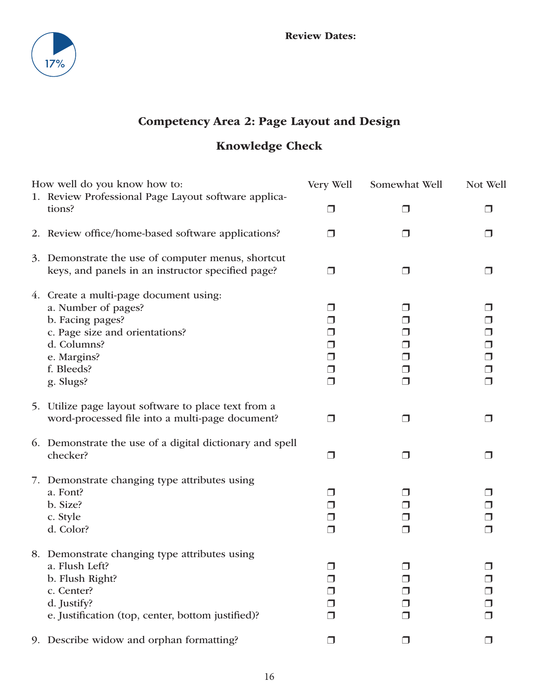

### Competency Area 2: Page Layout and Design

### Knowledge Check

| How well do you know how to:                                                                                                                                                 | Very Well                                         | Somewhat Well                 | Not Well                                                      |
|------------------------------------------------------------------------------------------------------------------------------------------------------------------------------|---------------------------------------------------|-------------------------------|---------------------------------------------------------------|
| 1. Review Professional Page Layout software applica-<br>tions?                                                                                                               | ⊓                                                 |                               | ⊓                                                             |
| 2. Review office/home-based software applications?                                                                                                                           | $\Box$                                            | $\blacksquare$                | $\Box$                                                        |
| 3. Demonstrate the use of computer menus, shortcut<br>keys, and panels in an instructor specified page?                                                                      | $\Box$                                            | $\blacksquare$                | ⊓                                                             |
| 4. Create a multi-page document using:<br>a. Number of pages?<br>b. Facing pages?<br>c. Page size and orientations?<br>d. Columns?<br>e. Margins?<br>f. Bleeds?<br>g. Slugs? | J<br>$\blacksquare$<br>⋃<br>□<br>$\Box$<br>$\Box$ | ∣ J<br>J<br>┚<br>□<br>$\Box$  | $\Box$<br>□<br>$\Box$<br>$\Box$<br>$\Box$<br>$\Box$<br>$\Box$ |
| 5. Utilize page layout software to place text from a<br>word-processed file into a multi-page document?                                                                      | $\Box$                                            | $\Box$                        | $\Box$                                                        |
| 6. Demonstrate the use of a digital dictionary and spell<br>checker?                                                                                                         | $\Box$                                            | $\Box$                        | $\Box$                                                        |
| 7. Demonstrate changing type attributes using<br>a. Font?<br>b. Size?<br>c. Style<br>d. Color?                                                                               | J<br>$\Box$<br>$\Box$                             | $\blacksquare$<br>⊔<br>$\Box$ | $\Box$<br>$\Box$<br>$\Box$<br>$\Box$                          |
| 8. Demonstrate changing type attributes using<br>a. Flush Left?<br>b. Flush Right?<br>c. Center?<br>d. Justify?<br>e. Justification (top, center, bottom justified)?         | $\Box$<br>H                                       | $\Box$                        | ⊓<br>$\Box$<br>⊓                                              |
| 9. Describe widow and orphan formatting?                                                                                                                                     | $\Box$                                            | $\Box$                        | $\Box$                                                        |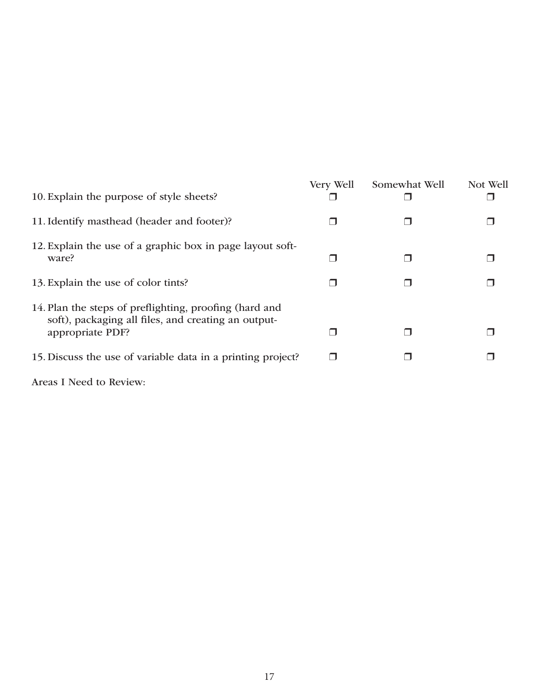| 10. Explain the purpose of style sheets?                                                                                          | Very Well | Somewhat Well | Not Well |
|-----------------------------------------------------------------------------------------------------------------------------------|-----------|---------------|----------|
| 11. Identify masthead (header and footer)?                                                                                        |           |               |          |
| 12. Explain the use of a graphic box in page layout soft-<br>ware?                                                                |           |               |          |
| 13. Explain the use of color tints?                                                                                               |           |               |          |
| 14. Plan the steps of preflighting, proofing (hard and<br>soft), packaging all files, and creating an output-<br>appropriate PDF? |           |               |          |
| 15. Discuss the use of variable data in a printing project?                                                                       |           |               |          |
|                                                                                                                                   |           |               |          |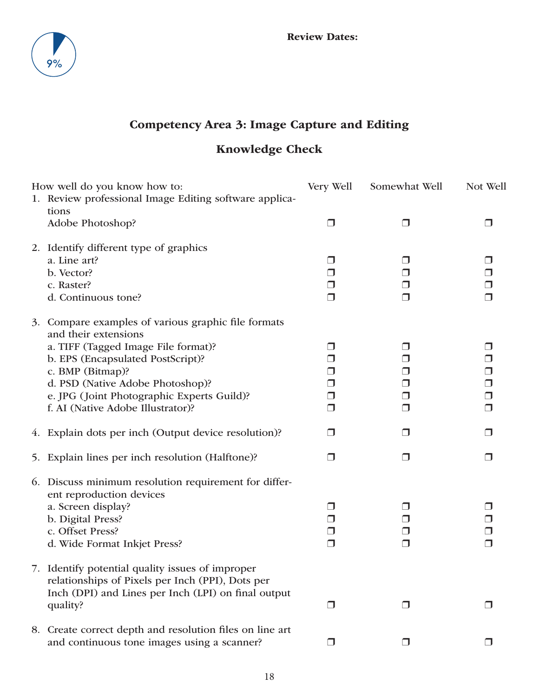

### Competency Area 3: Image Capture and Editing

### Knowledge Check

| How well do you know how to:                                                                         | Very Well                | Somewhat Well    | Not Well    |
|------------------------------------------------------------------------------------------------------|--------------------------|------------------|-------------|
| 1. Review professional Image Editing software applica-<br>tions                                      |                          |                  |             |
| Adobe Photoshop?                                                                                     | $\overline{\phantom{a}}$ | □                |             |
| 2. Identify different type of graphics                                                               |                          |                  |             |
| a. Line art?<br>b. Vector?                                                                           | ∣ J<br>⊓                 | ⋃<br>$\Box$      | □           |
| c. Raster?                                                                                           | $\Box$                   | $\Box$           |             |
| d. Continuous tone?                                                                                  | $\Box$                   | $\Box$           | $\Box$      |
| Compare examples of various graphic file formats<br>3.<br>and their extensions                       |                          |                  |             |
| a. TIFF (Tagged Image File format)?                                                                  |                          | ⊔                |             |
| b. EPS (Encapsulated PostScript)?                                                                    | ⋃                        | $\Box$           | $\Box$      |
| c. BMP (Bitmap)?                                                                                     |                          | $\Box$           | $\Box$      |
| d. PSD (Native Adobe Photoshop)?                                                                     | $\Box$                   | $\Box$           | $\Box$      |
| e. JPG (Joint Photographic Experts Guild)?<br>f. AI (Native Adobe Illustrator)?                      | $\Box$<br>ı.             | $\Box$<br>$\Box$ | $\Box$<br>⊓ |
| 4. Explain dots per inch (Output device resolution)?                                                 | $\Box$                   | $\Box$           |             |
| 5. Explain lines per inch resolution (Halftone)?                                                     | $\Box$                   | $\Box$           | H           |
| 6. Discuss minimum resolution requirement for differ-                                                |                          |                  |             |
| ent reproduction devices<br>a. Screen display?                                                       | $\Box$                   | $\Box$           | ⊓           |
| b. Digital Press?                                                                                    | $\Box$                   | $\Box$           | $\Box$      |
| c. Offset Press?                                                                                     | □                        | $\Box$           |             |
| d. Wide Format Inkjet Press?                                                                         | $\Box$                   | $\Box$           | $\Box$      |
| 7. Identify potential quality issues of improper<br>relationships of Pixels per Inch (PPI), Dots per |                          |                  |             |
| Inch (DPI) and Lines per Inch (LPI) on final output<br>quality?                                      | $\blacksquare$           | $\Box$           |             |
| 8. Create correct depth and resolution files on line art                                             |                          |                  |             |
| and continuous tone images using a scanner?                                                          | $\blacksquare$           | $\Box$           |             |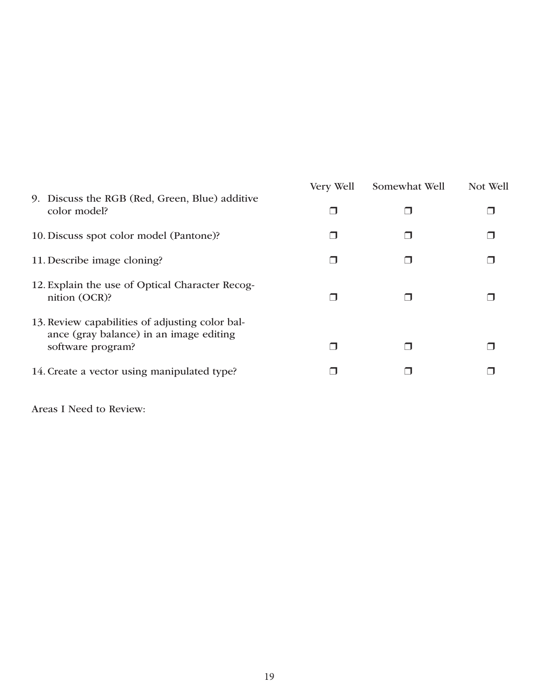|                                                                                                                 | Very Well | Somewhat Well | Not Well |
|-----------------------------------------------------------------------------------------------------------------|-----------|---------------|----------|
| 9. Discuss the RGB (Red, Green, Blue) additive<br>color model?                                                  |           |               |          |
| 10. Discuss spot color model (Pantone)?                                                                         |           |               |          |
| 11. Describe image cloning?                                                                                     |           |               |          |
| 12. Explain the use of Optical Character Recog-<br>nition (OCR)?                                                |           |               |          |
| 13. Review capabilities of adjusting color bal-<br>ance (gray balance) in an image editing<br>software program? |           |               |          |
| 14. Create a vector using manipulated type?                                                                     |           |               |          |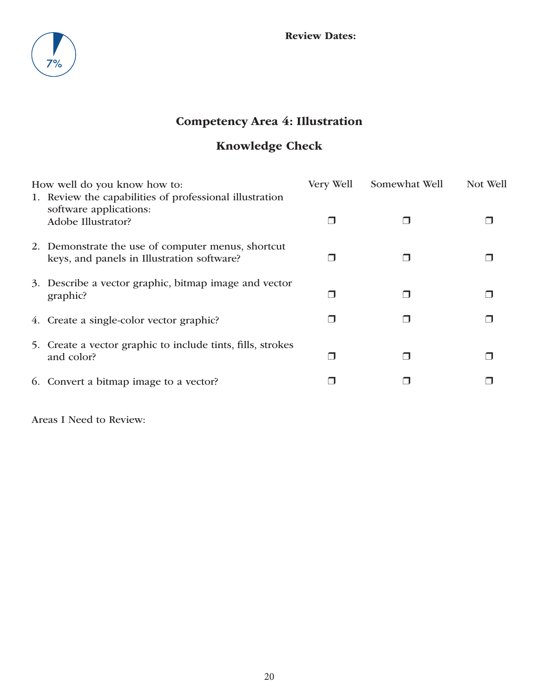

### Competency Area 4: Illustration

### Knowledge Check

|                                            | Very Well                                                                                                                                                                                                                                                                                                                                                                         | Somewhat Well | Not Well |
|--------------------------------------------|-----------------------------------------------------------------------------------------------------------------------------------------------------------------------------------------------------------------------------------------------------------------------------------------------------------------------------------------------------------------------------------|---------------|----------|
| software applications:                     |                                                                                                                                                                                                                                                                                                                                                                                   |               |          |
|                                            |                                                                                                                                                                                                                                                                                                                                                                                   |               |          |
| keys, and panels in Illustration software? |                                                                                                                                                                                                                                                                                                                                                                                   |               |          |
|                                            |                                                                                                                                                                                                                                                                                                                                                                                   |               |          |
| graphic?                                   |                                                                                                                                                                                                                                                                                                                                                                                   |               |          |
|                                            |                                                                                                                                                                                                                                                                                                                                                                                   |               |          |
|                                            |                                                                                                                                                                                                                                                                                                                                                                                   |               |          |
| and color?                                 |                                                                                                                                                                                                                                                                                                                                                                                   |               |          |
|                                            |                                                                                                                                                                                                                                                                                                                                                                                   |               |          |
|                                            | How well do you know how to:<br>1. Review the capabilities of professional illustration<br>Adobe Illustrator?<br>2. Demonstrate the use of computer menus, shortcut<br>3. Describe a vector graphic, bitmap image and vector<br>4. Create a single-color vector graphic?<br>5. Create a vector graphic to include tints, fills, strokes<br>6. Convert a bitmap image to a vector? |               |          |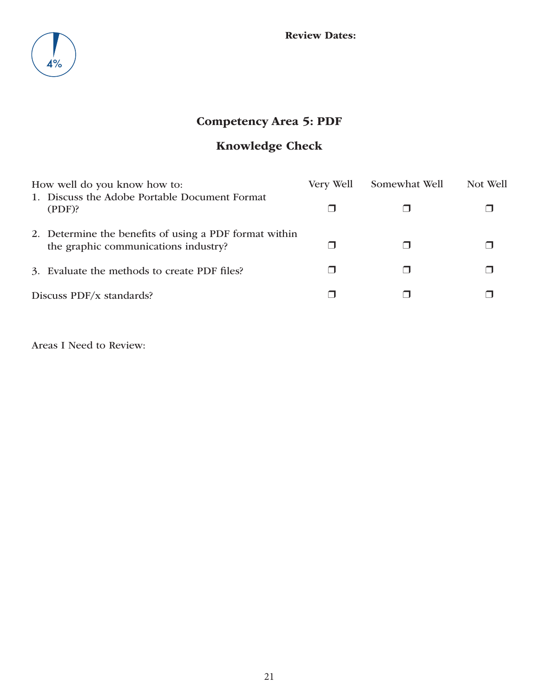

### Competency Area 5: PDF

### Knowledge Check

| How well do you know how to:                                                                   | Very Well | Somewhat Well | Not Well |
|------------------------------------------------------------------------------------------------|-----------|---------------|----------|
| 1. Discuss the Adobe Portable Document Format<br>$(PDF)$ ?                                     |           |               |          |
| 2. Determine the benefits of using a PDF format within<br>the graphic communications industry? |           |               |          |
| 3. Evaluate the methods to create PDF files?                                                   |           |               |          |
| Discuss PDF/x standards?                                                                       |           |               |          |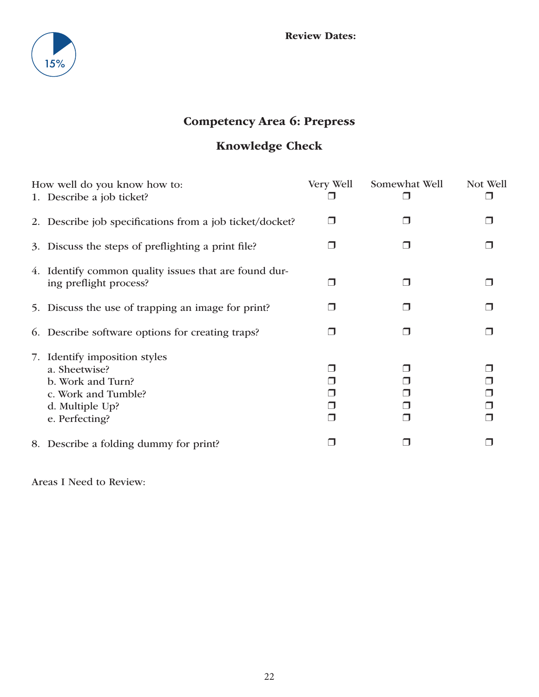

### Competency Area 6: Prepress

### Knowledge Check

| How well do you know how to:                                                                                                    | Very Well      | Somewhat Well | Not Well |
|---------------------------------------------------------------------------------------------------------------------------------|----------------|---------------|----------|
| 1. Describe a job ticket?                                                                                                       |                |               |          |
| 2. Describe job specifications from a job ticket/docket?                                                                        | H              |               |          |
| 3. Discuss the steps of preflighting a print file?                                                                              |                |               |          |
| 4. Identify common quality issues that are found dur-<br>ing preflight process?                                                 |                |               |          |
| 5. Discuss the use of trapping an image for print?                                                                              |                |               |          |
| 6. Describe software options for creating traps?                                                                                |                |               |          |
| 7. Identify imposition styles<br>a. Sheetwise?<br>b. Work and Turn?<br>c. Work and Tumble?<br>d. Multiple Up?<br>e. Perfecting? | $\blacksquare$ |               |          |
| 8. Describe a folding dummy for print?                                                                                          |                |               |          |
|                                                                                                                                 |                |               |          |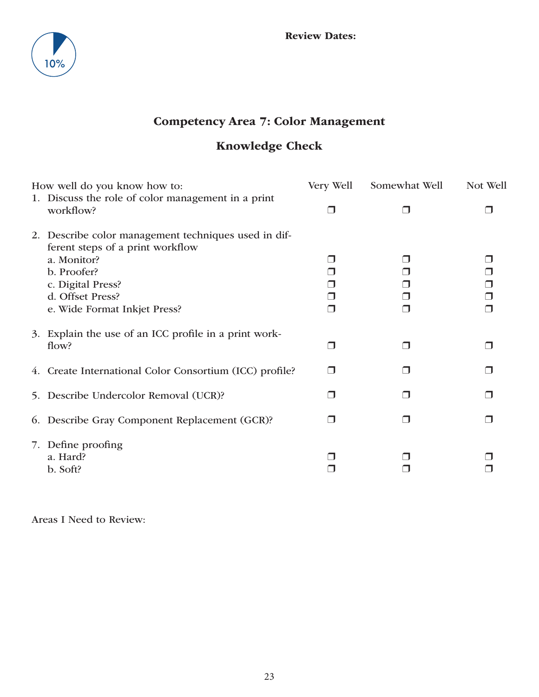

### Competency Area 7: Color Management

### Knowledge Check

| How well do you know how to:                                                                                                                                                                    | Very Well | Somewhat Well | Not Well |
|-------------------------------------------------------------------------------------------------------------------------------------------------------------------------------------------------|-----------|---------------|----------|
| 1. Discuss the role of color management in a print<br>workflow?                                                                                                                                 | ⊓         | ⊓             |          |
| 2. Describe color management techniques used in dif-<br>ferent steps of a print workflow<br>a. Monitor?<br>b. Proofer?<br>c. Digital Press?<br>d. Offset Press?<br>e. Wide Format Inkjet Press? |           |               | $\Box$   |
| 3. Explain the use of an ICC profile in a print work-<br>flow?                                                                                                                                  | ⊓         | П             |          |
| 4. Create International Color Consortium (ICC) profile?                                                                                                                                         | H         |               |          |
| 5. Describe Undercolor Removal (UCR)?                                                                                                                                                           |           |               |          |
| 6. Describe Gray Component Replacement (GCR)?                                                                                                                                                   |           |               |          |
| 7. Define proofing<br>a. Hard?<br>b. Soft?                                                                                                                                                      |           |               |          |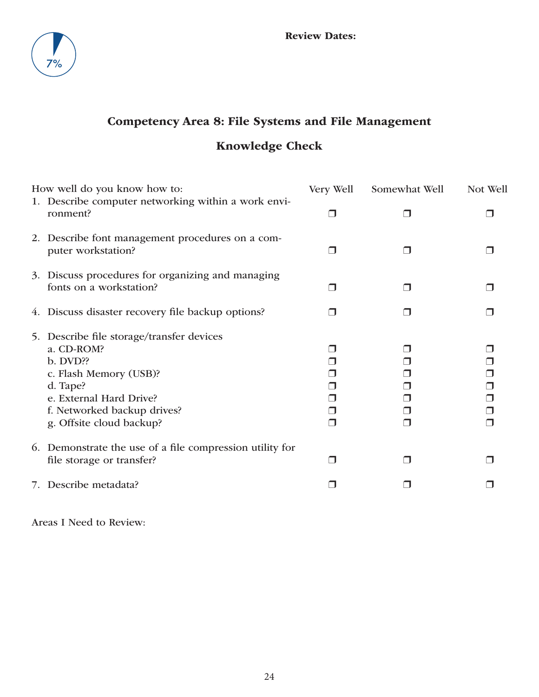

### Competency Area 8: File Systems and File Management

### Knowledge Check

|    | How well do you know how to:                                                                                                                                                                 | Very Well | Somewhat Well | Not Well         |
|----|----------------------------------------------------------------------------------------------------------------------------------------------------------------------------------------------|-----------|---------------|------------------|
|    | 1. Describe computer networking within a work envi-<br>ronment?                                                                                                                              | П         |               |                  |
|    | 2. Describe font management procedures on a com-<br>puter workstation?                                                                                                                       |           |               |                  |
|    | 3. Discuss procedures for organizing and managing<br>fonts on a workstation?                                                                                                                 | . I       |               |                  |
|    | 4. Discuss disaster recovery file backup options?                                                                                                                                            | - 1       |               |                  |
| 5. | Describe file storage/transfer devices<br>a. CD-ROM?<br>b. DVD??<br>c. Flash Memory (USB)?<br>d. Tape?<br>e. External Hard Drive?<br>f. Networked backup drives?<br>g. Offsite cloud backup? |           |               | $\Box$<br>$\Box$ |
|    | 6. Demonstrate the use of a file compression utility for<br>file storage or transfer?                                                                                                        | ⊓         |               |                  |
| 7. | Describe metadata?                                                                                                                                                                           |           |               |                  |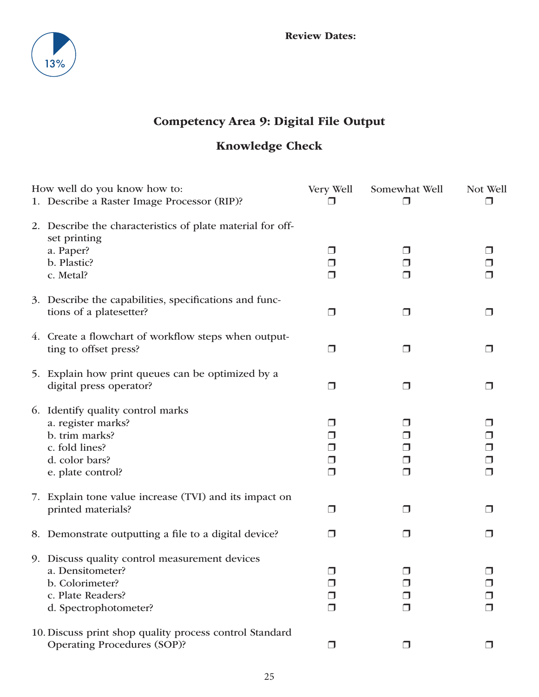

### Competency Area 9: Digital File Output

### Knowledge Check

| How well do you know how to:                                                                                                        | Very Well                                    | Somewhat Well              | Not Well                   |
|-------------------------------------------------------------------------------------------------------------------------------------|----------------------------------------------|----------------------------|----------------------------|
| 1. Describe a Raster Image Processor (RIP)?                                                                                         | $\overline{\phantom{a}}$                     |                            | □                          |
| 2. Describe the characteristics of plate material for off-<br>set printing<br>a. Paper?<br>b. Plastic?<br>c. Metal?                 | $\Box$<br>$\Box$<br>$\Box$                   | ⋃<br>$\Box$<br>⊓           |                            |
| 3. Describe the capabilities, specifications and func-<br>tions of a platesetter?                                                   | $\Box$                                       | □                          | $\Box$                     |
| 4. Create a flowchart of workflow steps when output-<br>ting to offset press?                                                       | $\Box$                                       | $\Box$                     | □                          |
| 5. Explain how print queues can be optimized by a<br>digital press operator?                                                        | $\Box$                                       | □                          | □                          |
| 6. Identify quality control marks<br>a. register marks?<br>b. trim marks?<br>c. fold lines?<br>d. color bars?<br>e. plate control?  | ⋃<br>$\Box$<br>$\Box$<br>$\Box$<br>$\Box$    | ┚<br>$\Box$<br>□<br>$\Box$ | $\Box$<br>$\Box$<br>$\Box$ |
| 7. Explain tone value increase (TVI) and its impact on<br>printed materials?                                                        | $\Box$                                       | $\Box$                     | ⊓                          |
| 8. Demonstrate outputting a file to a digital device?                                                                               | ⊓                                            | $\blacksquare$             | H                          |
| 9. Discuss quality control measurement devices<br>a. Densitometer?<br>b. Colorimeter?<br>c. Plate Readers?<br>d. Spectrophotometer? | $\Box$<br>⊓<br>$\overline{\phantom{a}}$<br>⊓ | $\Box$                     | П<br>□                     |
| 10. Discuss print shop quality process control Standard<br><b>Operating Procedures (SOP)?</b>                                       | $\Box$                                       | H                          |                            |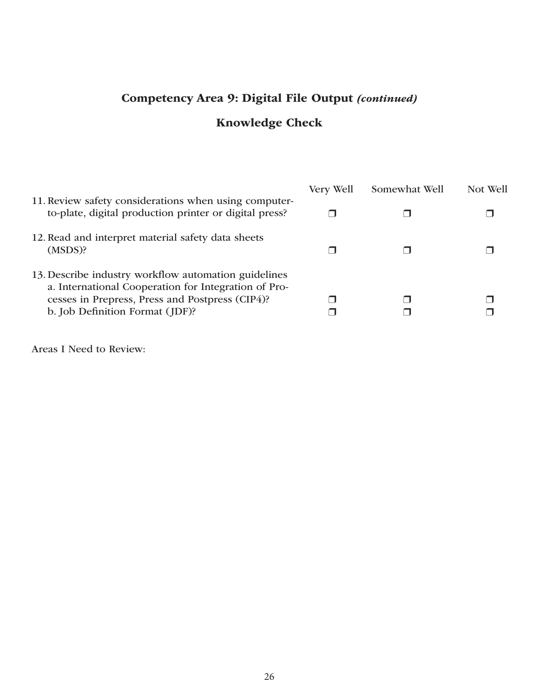### Competency Area 9: Digital File Output *(continued)*

### Knowledge Check

|                                                                                                                                                                                                    | Very Well | Somewhat Well | Not Well |
|----------------------------------------------------------------------------------------------------------------------------------------------------------------------------------------------------|-----------|---------------|----------|
| 11. Review safety considerations when using computer-<br>to-plate, digital production printer or digital press?                                                                                    |           |               |          |
| 12. Read and interpret material safety data sheets<br>(MSDS)?                                                                                                                                      |           |               |          |
| 13. Describe industry workflow automation guidelines<br>a. International Cooperation for Integration of Pro-<br>cesses in Prepress, Press and Postpress (CIP4)?<br>b. Job Definition Format (JDF)? |           |               |          |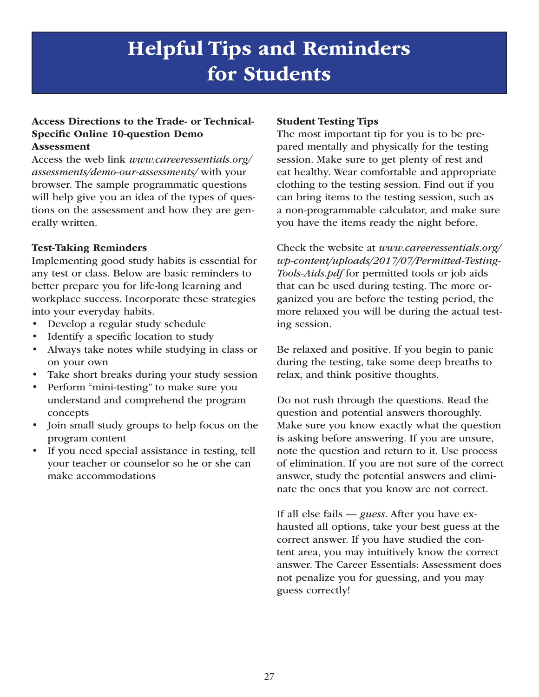## Helpful Tips and Reminders for Students

### Access Directions to the Trade- or Technical-Specific Online 10-question Demo Assessment

Access the web link *www.careeressentials.org/ assessments/demo-our-assessments/* with your browser. The sample programmatic questions will help give you an idea of the types of questions on the assessment and how they are generally written.

### Test-Taking Reminders

Implementing good study habits is essential for any test or class. Below are basic reminders to better prepare you for life-long learning and workplace success. Incorporate these strategies into your everyday habits.

- Develop a regular study schedule
- Identify a specific location to study
- Always take notes while studying in class or on your own
- Take short breaks during your study session
- Perform "mini-testing" to make sure you understand and comprehend the program concepts
- Join small study groups to help focus on the program content
- If you need special assistance in testing, tell your teacher or counselor so he or she can make accommodations

### Student Testing Tips

The most important tip for you is to be prepared mentally and physically for the testing session. Make sure to get plenty of rest and eat healthy. Wear comfortable and appropriate clothing to the testing session. Find out if you can bring items to the testing session, such as a non-programmable calculator, and make sure you have the items ready the night before.

Check the website at *www.careeressentials.org/ wp-content/uploads/2017/07/Permitted-Testing-Tools-Aids.pdf* for permitted tools or job aids that can be used during testing. The more organized you are before the testing period, the more relaxed you will be during the actual testing session.

Be relaxed and positive. If you begin to panic during the testing, take some deep breaths to relax, and think positive thoughts.

Do not rush through the questions. Read the question and potential answers thoroughly. Make sure you know exactly what the question is asking before answering. If you are unsure, note the question and return to it. Use process of elimination. If you are not sure of the correct answer, study the potential answers and eliminate the ones that you know are not correct.

If all else fails — *guess*. After you have exhausted all options, take your best guess at the correct answer. If you have studied the content area, you may intuitively know the correct answer. The Career Essentials: Assessment does not penalize you for guessing, and you may guess correctly!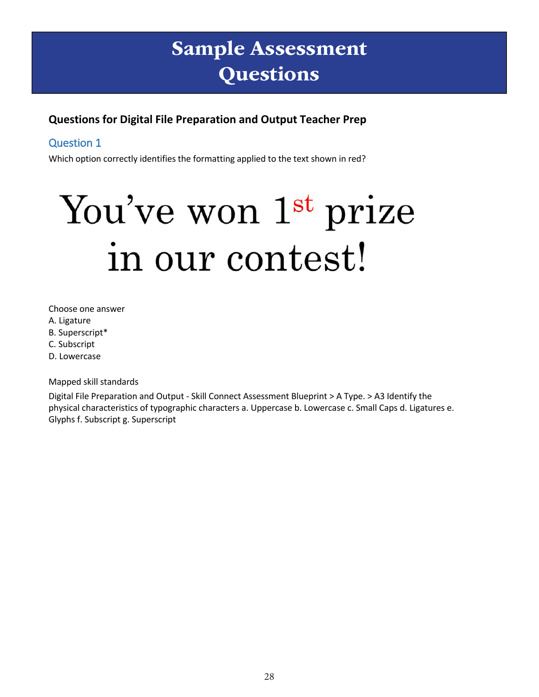# Sample Assessment **Questions**

### **Questions for Digital File Preparation and Output Teacher Prep**

### Question 1

Which option correctly identifies the formatting applied to the text shown in red?

# You've won 1st prize in our contest!

Choose one answer

- A. Ligature
- B. Superscript\*
- C. Subscript
- D. Lowercase

Mapped skill standards

Digital File Preparation and Output - Skill Connect Assessment Blueprint > A Type. > A3 Identify the physical characteristics of typographic characters a. Uppercase b. Lowercase c. Small Caps d. Ligatures e. Glyphs f. Subscript g. Superscript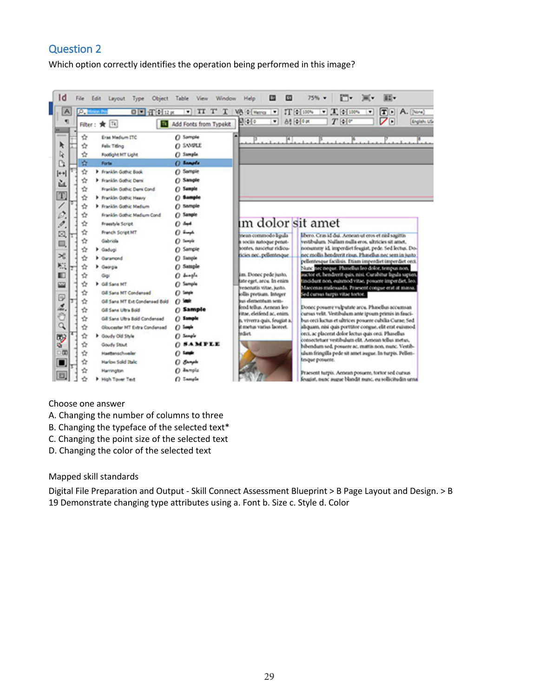Which option correctly identifies the operation being performed in this image?



#### Choose one answer

- A. Changing the number of columns to three
- B. Changing the typeface of the selected text\*
- C. Changing the point size of the selected text
- D. Changing the color of the selected text

#### Mapped skill standards

Digital File Preparation and Output - Skill Connect Assessment Blueprint > B Page Layout and Design. > B 19 Demonstrate changing type attributes using a. Font b. Size c. Style d. Color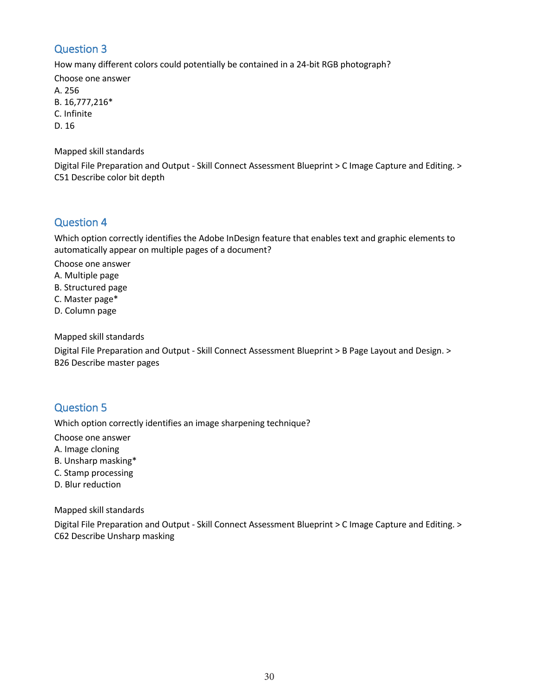How many different colors could potentially be contained in a 24-bit RGB photograph?

Choose one answer A. 256 B. 16,777,216\* C. Infinite D. 16

Mapped skill standards

Digital File Preparation and Output - Skill Connect Assessment Blueprint > C Image Capture and Editing. > C51 Describe color bit depth

### Question 4

Which option correctly identifies the Adobe InDesign feature that enables text and graphic elements to automatically appear on multiple pages of a document?

Choose one answer

- A. Multiple page
- B. Structured page
- C. Master page\*
- D. Column page

Mapped skill standards

Digital File Preparation and Output - Skill Connect Assessment Blueprint > B Page Layout and Design. > B26 Describe master pages

### Question 5

Which option correctly identifies an image sharpening technique?

Choose one answer

- A. Image cloning
- B. Unsharp masking\*
- C. Stamp processing
- D. Blur reduction

Mapped skill standards

Digital File Preparation and Output - Skill Connect Assessment Blueprint > C Image Capture and Editing. > C62 Describe Unsharp masking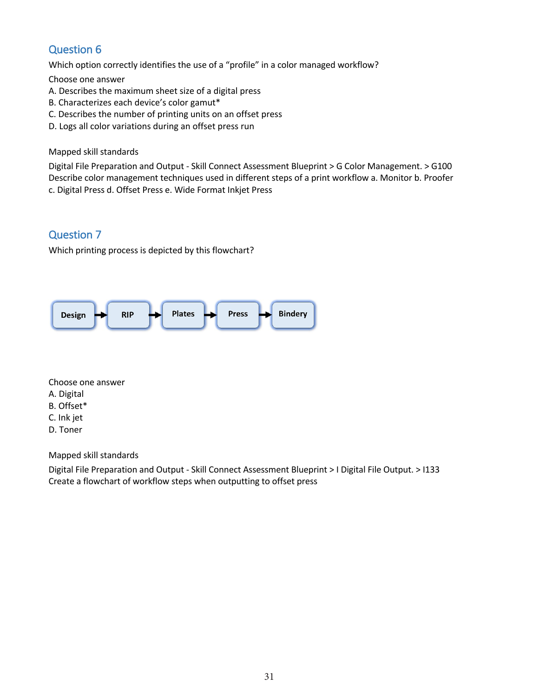Which option correctly identifies the use of a "profile" in a color managed workflow?

Choose one answer

- A. Describes the maximum sheet size of a digital press
- B. Characterizes each device's color gamut\*
- C. Describes the number of printing units on an offset press
- D. Logs all color variations during an offset press run

#### Mapped skill standards

Digital File Preparation and Output - Skill Connect Assessment Blueprint > G Color Management. > G100 Describe color management techniques used in different steps of a print workflow a. Monitor b. Proofer c. Digital Press d. Offset Press e. Wide Format Inkjet Press

### Question 7

Which printing process is depicted by this flowchart?



Choose one answer

- A. Digital
- B. Offset\*
- C. Ink jet
- D. Toner

Mapped skill standards

Digital File Preparation and Output - Skill Connect Assessment Blueprint > I Digital File Output. > I133 Create a flowchart of workflow steps when outputting to offset press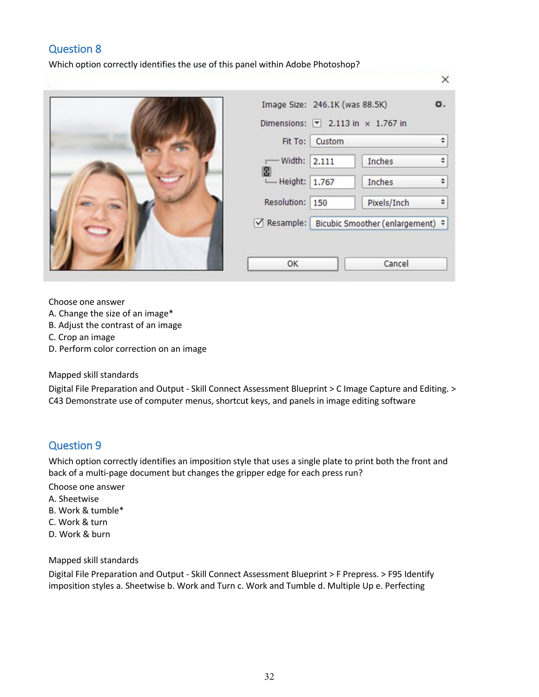Which option correctly identifies the use of this panel within Adobe Photoshop?



|                       | Fit To: Custom | Dimensions: $\boxed{\overline{ }}$ 2.113 in $\times$ 1.767 in | ÷ |
|-----------------------|----------------|---------------------------------------------------------------|---|
| $-Width: 2.111$       |                | Inches                                                        | ÷ |
| B)<br>- Height: 1.767 |                | Inches                                                        | ÷ |
| Resolution: 150       |                | Pixels/Inch                                                   | ≑ |
|                       |                | √ Resample: Bicubic Smoother (enlargement) ÷                  |   |

Choose one answer

- A. Change the size of an image\*
- B. Adjust the contrast of an image
- C. Crop an image
- D. Perform color correction on an image

#### Mapped skill standards

Digital File Preparation and Output - Skill Connect Assessment Blueprint > C Image Capture and Editing. > C43 Demonstrate use of computer menus, shortcut keys, and panels in image editing software

### Question 9

Which option correctly identifies an imposition style that uses a single plate to print both the front and back of a multi-page document but changes the gripper edge for each press run?

Choose one answer

- A. Sheetwise
- B. Work & tumble\*
- C. Work & turn
- D. Work & burn

#### Mapped skill standards

Digital File Preparation and Output - Skill Connect Assessment Blueprint > F Prepress. > F95 Identify imposition styles a. Sheetwise b. Work and Turn c. Work and Tumble d. Multiple Up e. Perfecting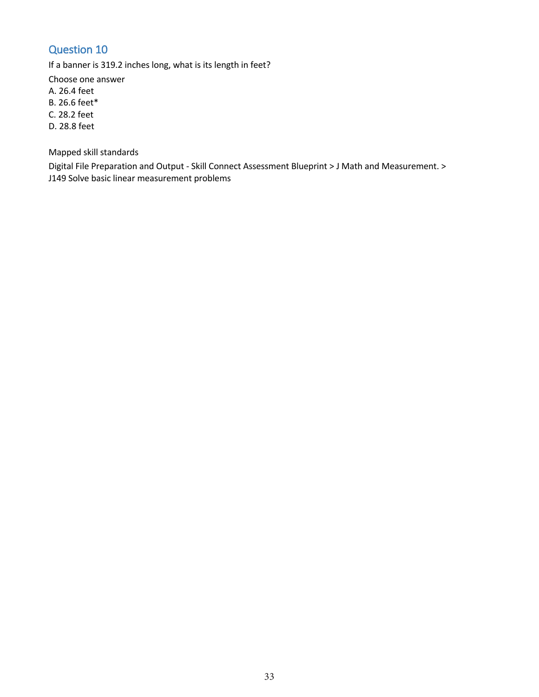If a banner is 319.2 inches long, what is its length in feet?

Choose one answer

A. 26.4 feet

B. 26.6 feet\*

C. 28.2 feet

D. 28.8 feet

Mapped skill standards

Digital File Preparation and Output - Skill Connect Assessment Blueprint > J Math and Measurement. > J149 Solve basic linear measurement problems